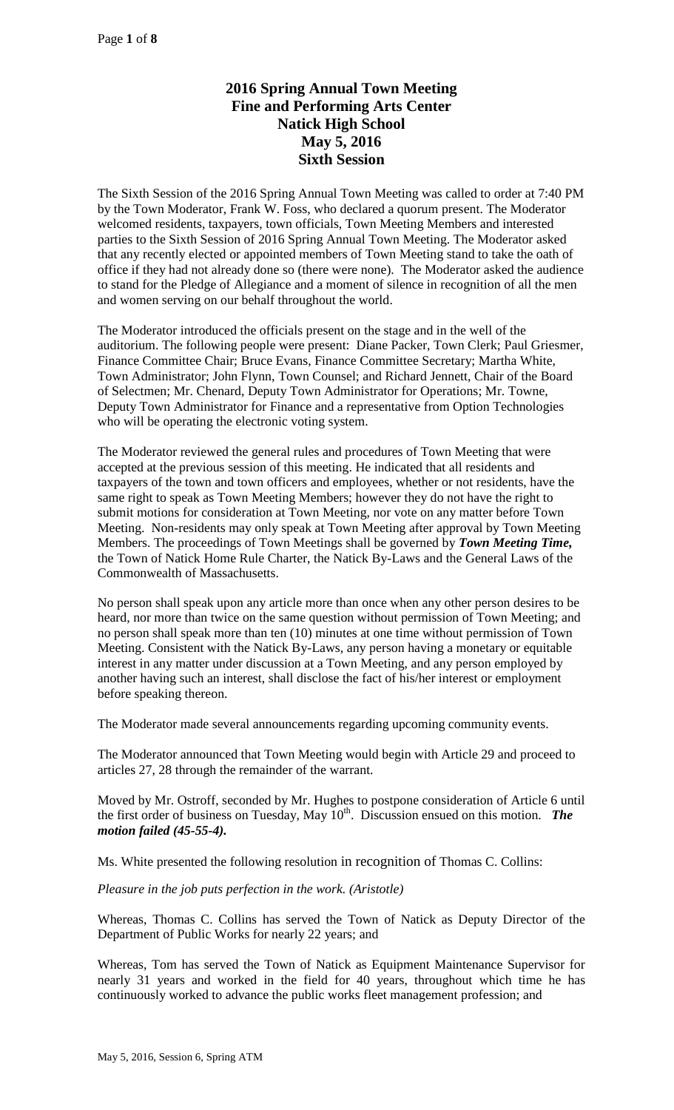# **2016 Spring Annual Town Meeting Fine and Performing Arts Center Natick High School May 5, 2016 Sixth Session**

The Sixth Session of the 2016 Spring Annual Town Meeting was called to order at 7:40 PM by the Town Moderator, Frank W. Foss, who declared a quorum present. The Moderator welcomed residents, taxpayers, town officials, Town Meeting Members and interested parties to the Sixth Session of 2016 Spring Annual Town Meeting. The Moderator asked that any recently elected or appointed members of Town Meeting stand to take the oath of office if they had not already done so (there were none). The Moderator asked the audience to stand for the Pledge of Allegiance and a moment of silence in recognition of all the men and women serving on our behalf throughout the world.

The Moderator introduced the officials present on the stage and in the well of the auditorium. The following people were present: Diane Packer, Town Clerk; Paul Griesmer, Finance Committee Chair; Bruce Evans, Finance Committee Secretary; Martha White, Town Administrator; John Flynn, Town Counsel; and Richard Jennett, Chair of the Board of Selectmen; Mr. Chenard, Deputy Town Administrator for Operations; Mr. Towne, Deputy Town Administrator for Finance and a representative from Option Technologies who will be operating the electronic voting system.

The Moderator reviewed the general rules and procedures of Town Meeting that were accepted at the previous session of this meeting. He indicated that all residents and taxpayers of the town and town officers and employees, whether or not residents, have the same right to speak as Town Meeting Members; however they do not have the right to submit motions for consideration at Town Meeting, nor vote on any matter before Town Meeting. Non-residents may only speak at Town Meeting after approval by Town Meeting Members. The proceedings of Town Meetings shall be governed by *Town Meeting Time,* the Town of Natick Home Rule Charter, the Natick By-Laws and the General Laws of the Commonwealth of Massachusetts.

No person shall speak upon any article more than once when any other person desires to be heard, nor more than twice on the same question without permission of Town Meeting; and no person shall speak more than ten (10) minutes at one time without permission of Town Meeting. Consistent with the Natick By-Laws, any person having a monetary or equitable interest in any matter under discussion at a Town Meeting, and any person employed by another having such an interest, shall disclose the fact of his/her interest or employment before speaking thereon.

The Moderator made several announcements regarding upcoming community events.

The Moderator announced that Town Meeting would begin with Article 29 and proceed to articles 27, 28 through the remainder of the warrant.

Moved by Mr. Ostroff, seconded by Mr. Hughes to postpone consideration of Article 6 until the first order of business on Tuesday, May 10<sup>th</sup>. Discussion ensued on this motion. *The motion failed (45-55-4).*

Ms. White presented the following resolution in recognition of Thomas C. Collins:

*Pleasure in the job puts perfection in the work. (Aristotle)*

Whereas, Thomas C. Collins has served the Town of Natick as Deputy Director of the Department of Public Works for nearly 22 years; and

Whereas, Tom has served the Town of Natick as Equipment Maintenance Supervisor for nearly 31 years and worked in the field for 40 years, throughout which time he has continuously worked to advance the public works fleet management profession; and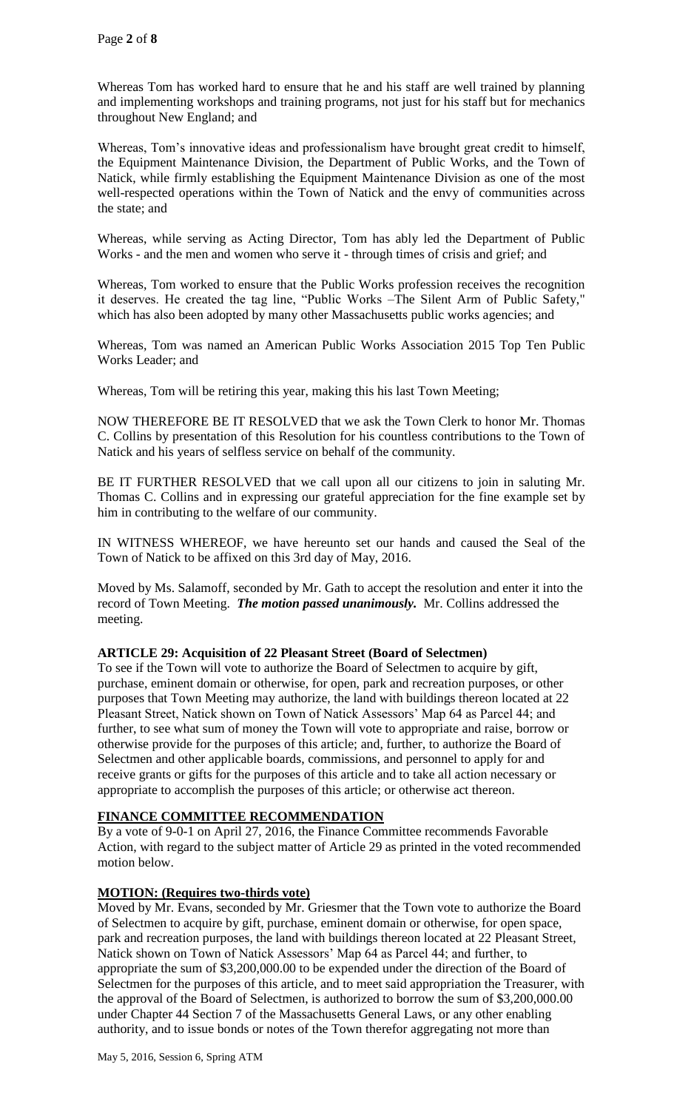Whereas Tom has worked hard to ensure that he and his staff are well trained by planning and implementing workshops and training programs, not just for his staff but for mechanics throughout New England; and

Whereas, Tom's innovative ideas and professionalism have brought great credit to himself, the Equipment Maintenance Division, the Department of Public Works, and the Town of Natick, while firmly establishing the Equipment Maintenance Division as one of the most well-respected operations within the Town of Natick and the envy of communities across the state; and

Whereas, while serving as Acting Director, Tom has ably led the Department of Public Works - and the men and women who serve it - through times of crisis and grief; and

Whereas, Tom worked to ensure that the Public Works profession receives the recognition it deserves. He created the tag line, "Public Works –The Silent Arm of Public Safety," which has also been adopted by many other Massachusetts public works agencies; and

Whereas, Tom was named an American Public Works Association 2015 Top Ten Public Works Leader; and

Whereas, Tom will be retiring this year, making this his last Town Meeting;

NOW THEREFORE BE IT RESOLVED that we ask the Town Clerk to honor Mr. Thomas C. Collins by presentation of this Resolution for his countless contributions to the Town of Natick and his years of selfless service on behalf of the community.

BE IT FURTHER RESOLVED that we call upon all our citizens to join in saluting Mr. Thomas C. Collins and in expressing our grateful appreciation for the fine example set by him in contributing to the welfare of our community.

IN WITNESS WHEREOF, we have hereunto set our hands and caused the Seal of the Town of Natick to be affixed on this 3rd day of May, 2016.

Moved by Ms. Salamoff, seconded by Mr. Gath to accept the resolution and enter it into the record of Town Meeting. *The motion passed unanimously.* Mr. Collins addressed the meeting.

#### **ARTICLE 29: Acquisition of 22 Pleasant Street (Board of Selectmen)**

To see if the Town will vote to authorize the Board of Selectmen to acquire by gift, purchase, eminent domain or otherwise, for open, park and recreation purposes, or other purposes that Town Meeting may authorize, the land with buildings thereon located at 22 Pleasant Street, Natick shown on Town of Natick Assessors' Map 64 as Parcel 44; and further, to see what sum of money the Town will vote to appropriate and raise, borrow or otherwise provide for the purposes of this article; and, further, to authorize the Board of Selectmen and other applicable boards, commissions, and personnel to apply for and receive grants or gifts for the purposes of this article and to take all action necessary or appropriate to accomplish the purposes of this article; or otherwise act thereon.

#### **FINANCE COMMITTEE RECOMMENDATION**

By a vote of 9-0-1 on April 27, 2016, the Finance Committee recommends Favorable Action, with regard to the subject matter of Article 29 as printed in the voted recommended motion below.

#### **MOTION: (Requires two-thirds vote)**

Moved by Mr. Evans, seconded by Mr. Griesmer that the Town vote to authorize the Board of Selectmen to acquire by gift, purchase, eminent domain or otherwise, for open space, park and recreation purposes, the land with buildings thereon located at 22 Pleasant Street, Natick shown on Town of Natick Assessors' Map 64 as Parcel 44; and further, to appropriate the sum of \$3,200,000.00 to be expended under the direction of the Board of Selectmen for the purposes of this article, and to meet said appropriation the Treasurer, with the approval of the Board of Selectmen, is authorized to borrow the sum of \$3,200,000.00 under Chapter 44 Section 7 of the Massachusetts General Laws, or any other enabling authority, and to issue bonds or notes of the Town therefor aggregating not more than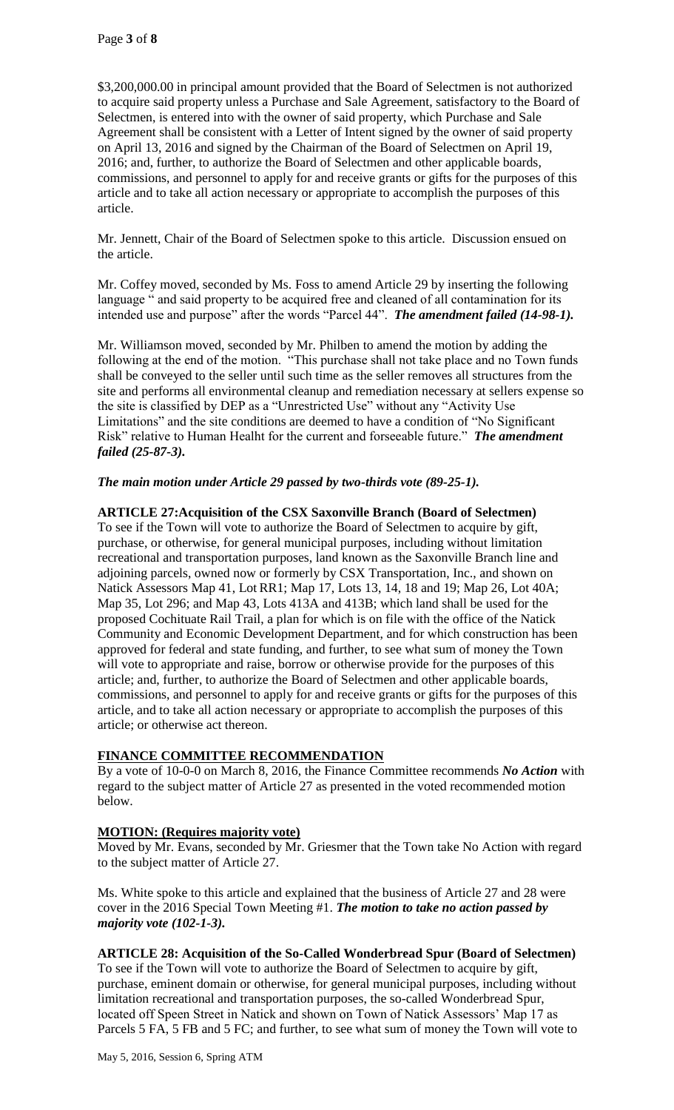\$3,200,000.00 in principal amount provided that the Board of Selectmen is not authorized to acquire said property unless a Purchase and Sale Agreement, satisfactory to the Board of Selectmen, is entered into with the owner of said property, which Purchase and Sale Agreement shall be consistent with a Letter of Intent signed by the owner of said property on April 13, 2016 and signed by the Chairman of the Board of Selectmen on April 19, 2016; and, further, to authorize the Board of Selectmen and other applicable boards, commissions, and personnel to apply for and receive grants or gifts for the purposes of this article and to take all action necessary or appropriate to accomplish the purposes of this article.

Mr. Jennett, Chair of the Board of Selectmen spoke to this article. Discussion ensued on the article.

Mr. Coffey moved, seconded by Ms. Foss to amend Article 29 by inserting the following language " and said property to be acquired free and cleaned of all contamination for its intended use and purpose" after the words "Parcel 44". *The amendment failed (14-98-1).*

Mr. Williamson moved, seconded by Mr. Philben to amend the motion by adding the following at the end of the motion. "This purchase shall not take place and no Town funds shall be conveyed to the seller until such time as the seller removes all structures from the site and performs all environmental cleanup and remediation necessary at sellers expense so the site is classified by DEP as a "Unrestricted Use" without any "Activity Use Limitations" and the site conditions are deemed to have a condition of "No Significant Risk" relative to Human Healht for the current and forseeable future." *The amendment failed (25-87-3).*

#### *The main motion under Article 29 passed by two-thirds vote (89-25-1).*

#### **ARTICLE 27:Acquisition of the CSX Saxonville Branch (Board of Selectmen)**

To see if the Town will vote to authorize the Board of Selectmen to acquire by gift, purchase, or otherwise, for general municipal purposes, including without limitation recreational and transportation purposes, land known as the Saxonville Branch line and adjoining parcels, owned now or formerly by CSX Transportation, Inc., and shown on Natick Assessors Map 41, Lot RR1; Map 17, Lots 13, 14, 18 and 19; Map 26, Lot 40A; Map 35, Lot 296; and Map 43, Lots 413A and 413B; which land shall be used for the proposed Cochituate Rail Trail, a plan for which is on file with the office of the Natick Community and Economic Development Department, and for which construction has been approved for federal and state funding, and further, to see what sum of money the Town will vote to appropriate and raise, borrow or otherwise provide for the purposes of this article; and, further, to authorize the Board of Selectmen and other applicable boards, commissions, and personnel to apply for and receive grants or gifts for the purposes of this article, and to take all action necessary or appropriate to accomplish the purposes of this article; or otherwise act thereon.

#### **FINANCE COMMITTEE RECOMMENDATION**

By a vote of 10-0-0 on March 8, 2016, the Finance Committee recommends *No Action* with regard to the subject matter of Article 27 as presented in the voted recommended motion below.

#### **MOTION: (Requires majority vote)**

Moved by Mr. Evans, seconded by Mr. Griesmer that the Town take No Action with regard to the subject matter of Article 27.

Ms. White spoke to this article and explained that the business of Article 27 and 28 were cover in the 2016 Special Town Meeting #1. *The motion to take no action passed by majority vote (102-1-3).*

#### **ARTICLE 28: Acquisition of the So-Called Wonderbread Spur (Board of Selectmen)**

To see if the Town will vote to authorize the Board of Selectmen to acquire by gift, purchase, eminent domain or otherwise, for general municipal purposes, including without limitation recreational and transportation purposes, the so-called Wonderbread Spur, located off Speen Street in Natick and shown on Town of Natick Assessors' Map 17 as Parcels 5 FA, 5 FB and 5 FC; and further, to see what sum of money the Town will vote to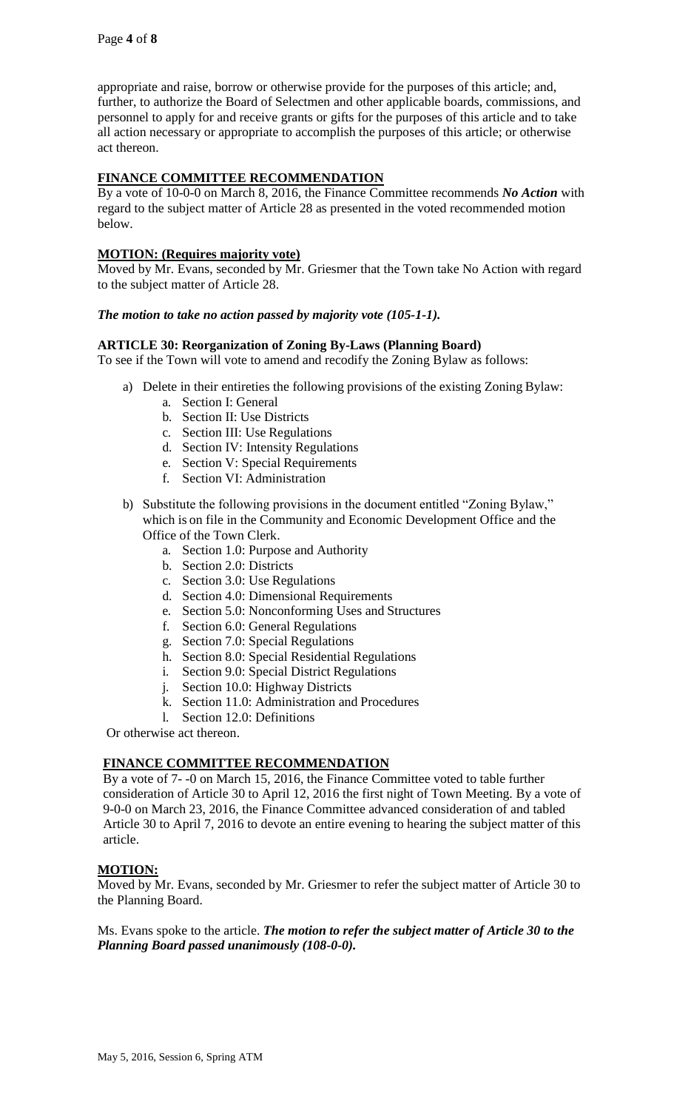appropriate and raise, borrow or otherwise provide for the purposes of this article; and, further, to authorize the Board of Selectmen and other applicable boards, commissions, and personnel to apply for and receive grants or gifts for the purposes of this article and to take all action necessary or appropriate to accomplish the purposes of this article; or otherwise act thereon.

#### **FINANCE COMMITTEE RECOMMENDATION**

By a vote of 10-0-0 on March 8, 2016, the Finance Committee recommends *No Action* with regard to the subject matter of Article 28 as presented in the voted recommended motion below.

#### **MOTION: (Requires majority vote)**

Moved by Mr. Evans, seconded by Mr. Griesmer that the Town take No Action with regard to the subject matter of Article 28.

#### *The motion to take no action passed by majority vote (105-1-1).*

#### **ARTICLE 30: Reorganization of Zoning By-Laws (Planning Board)**

To see if the Town will vote to amend and recodify the Zoning Bylaw as follows:

- a) Delete in their entireties the following provisions of the existing Zoning Bylaw:
	- a. Section I: General
	- b. Section II: Use Districts
	- c. Section III: Use Regulations
	- d. Section IV: Intensity Regulations
	- e. Section V: Special Requirements
	- f. Section VI: Administration
- b) Substitute the following provisions in the document entitled "Zoning Bylaw," which is on file in the Community and Economic Development Office and the Office of the Town Clerk.
	- a. Section 1.0: Purpose and Authority
	- b. Section 2.0: Districts
	- c. Section 3.0: Use Regulations
	- d. Section 4.0: Dimensional Requirements
	- e. Section 5.0: Nonconforming Uses and Structures
	- f. Section 6.0: General Regulations
	- g. Section 7.0: Special Regulations
	- h. Section 8.0: Special Residential Regulations
	- i. Section 9.0: Special District Regulations
	- j. Section 10.0: Highway Districts
	- k. Section 11.0: Administration and Procedures
	- l. Section 12.0: Definitions

Or otherwise act thereon.

# **FINANCE COMMITTEE RECOMMENDATION**

By a vote of 7- -0 on March 15, 2016, the Finance Committee voted to table further consideration of Article 30 to April 12, 2016 the first night of Town Meeting. By a vote of 9-0-0 on March 23, 2016, the Finance Committee advanced consideration of and tabled Article 30 to April 7, 2016 to devote an entire evening to hearing the subject matter of this article.

#### **MOTION:**

Moved by Mr. Evans, seconded by Mr. Griesmer to refer the subject matter of Article 30 to the Planning Board.

Ms. Evans spoke to the article. *The motion to refer the subject matter of Article 30 to the Planning Board passed unanimously (108-0-0).*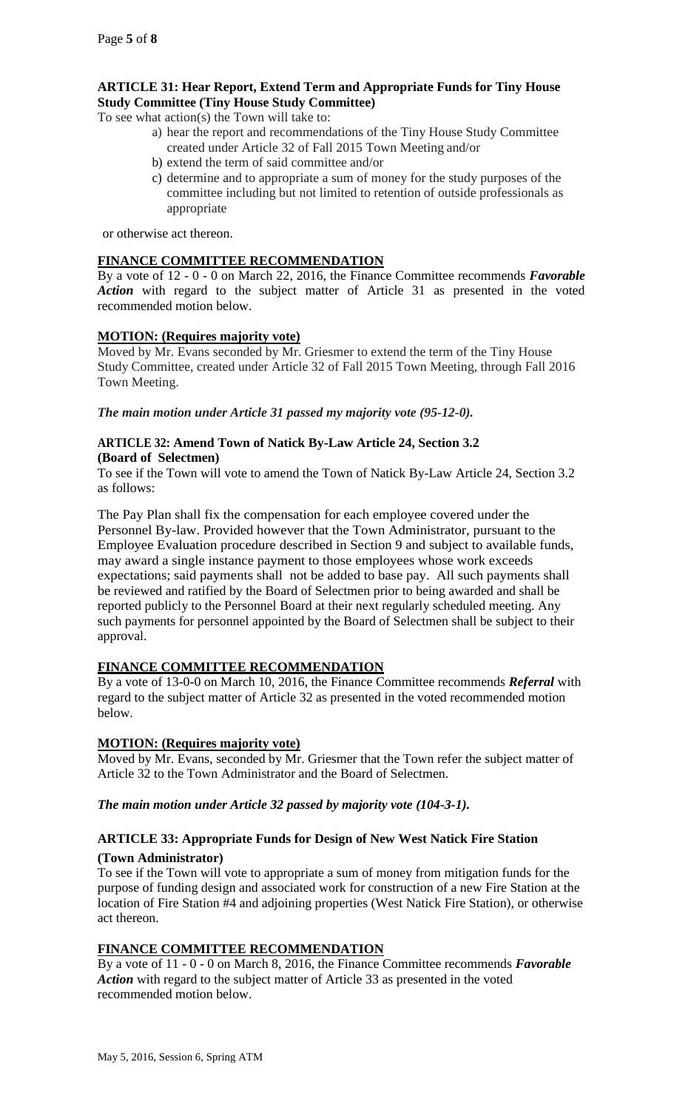# **ARTICLE 31: Hear Report, Extend Term and Appropriate Funds for Tiny House Study Committee (Tiny House Study Committee)**

To see what action(s) the Town will take to:

- a) hear the report and recommendations of the Tiny House Study Committee created under Article 32 of Fall 2015 Town Meeting and/or
- b) extend the term of said committee and/or
- c) determine and to appropriate a sum of money for the study purposes of the committee including but not limited to retention of outside professionals as appropriate

or otherwise act thereon.

# **FINANCE COMMITTEE RECOMMENDATION**

By a vote of 12 - 0 - 0 on March 22, 2016, the Finance Committee recommends *Favorable Action* with regard to the subject matter of Article 31 as presented in the voted recommended motion below.

# **MOTION: (Requires majority vote)**

Moved by Mr. Evans seconded by Mr. Griesmer to extend the term of the Tiny House Study Committee, created under Article 32 of Fall 2015 Town Meeting, through Fall 2016 Town Meeting.

*The main motion under Article 31 passed my majority vote (95-12-0).*

# **ARTICLE 32: Amend Town of Natick By-Law Article 24, Section 3.2 (Board of Selectmen)**

To see if the Town will vote to amend the Town of Natick By-Law Article 24, Section 3.2 as follows:

The Pay Plan shall fix the compensation for each employee covered under the Personnel By-law. Provided however that the Town Administrator, pursuant to the Employee Evaluation procedure described in Section 9 and subject to available funds, may award a single instance payment to those employees whose work exceeds expectations; said payments shall not be added to base pay. All such payments shall be reviewed and ratified by the Board of Selectmen prior to being awarded and shall be reported publicly to the Personnel Board at their next regularly scheduled meeting. Any such payments for personnel appointed by the Board of Selectmen shall be subject to their approval.

#### **FINANCE COMMITTEE RECOMMENDATION**

By a vote of 13-0-0 on March 10, 2016, the Finance Committee recommends *Referral* with regard to the subject matter of Article 32 as presented in the voted recommended motion below.

# **MOTION: (Requires majority vote)**

Moved by Mr. Evans, seconded by Mr. Griesmer that the Town refer the subject matter of Article 32 to the Town Administrator and the Board of Selectmen.

*The main motion under Article 32 passed by majority vote (104-3-1).*

# **ARTICLE 33: Appropriate Funds for Design of New West Natick Fire Station**

**(Town Administrator)** To see if the Town will vote to appropriate a sum of money from mitigation funds for the purpose of funding design and associated work for construction of a new Fire Station at the location of Fire Station #4 and adjoining properties (West Natick Fire Station), or otherwise act thereon.

# **FINANCE COMMITTEE RECOMMENDATION**

By a vote of 11 - 0 - 0 on March 8, 2016, the Finance Committee recommends *Favorable Action* with regard to the subject matter of Article 33 as presented in the voted recommended motion below.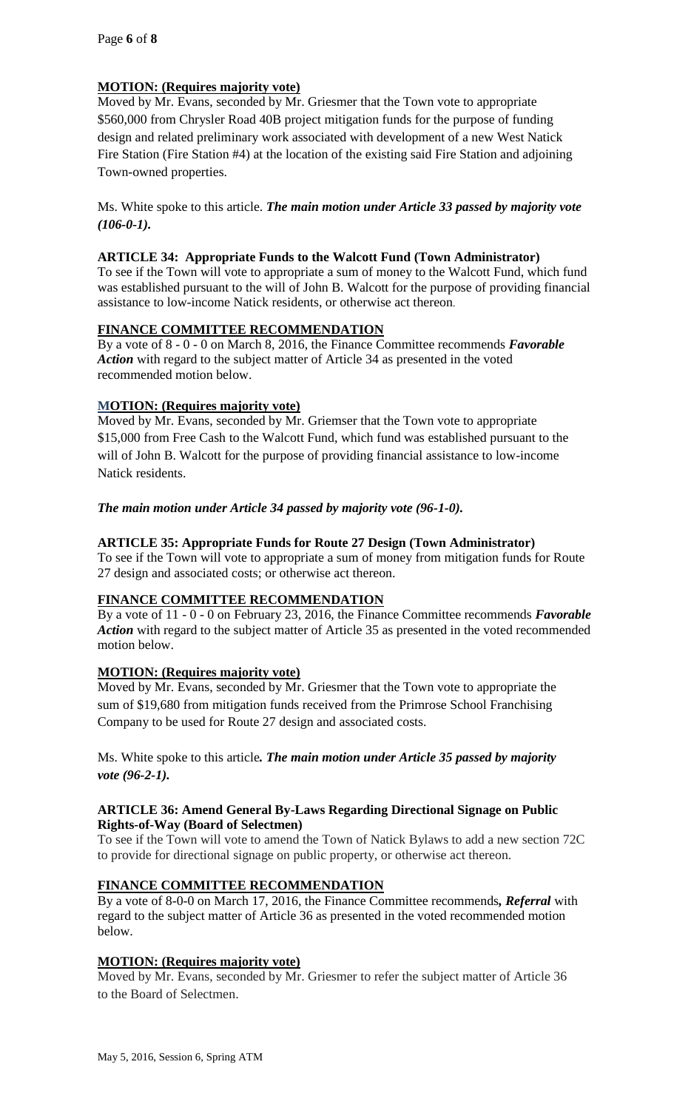# **MOTION: (Requires majority vote)**

Moved by Mr. Evans, seconded by Mr. Griesmer that the Town vote to appropriate \$560,000 from Chrysler Road 40B project mitigation funds for the purpose of funding design and related preliminary work associated with development of a new West Natick Fire Station (Fire Station #4) at the location of the existing said Fire Station and adjoining Town-owned properties.

Ms. White spoke to this article. *The main motion under Article 33 passed by majority vote (106-0-1).*

# **ARTICLE 34: Appropriate Funds to the Walcott Fund (Town Administrator)**

To see if the Town will vote to appropriate a sum of money to the Walcott Fund, which fund was established pursuant to the will of John B. Walcott for the purpose of providing financial assistance to low-income Natick residents, or otherwise act thereon.

# **FINANCE COMMITTEE RECOMMENDATION**

By a vote of 8 - 0 - 0 on March 8, 2016, the Finance Committee recommends *Favorable Action* with regard to the subject matter of Article 34 as presented in the voted recommended motion below.

# **MOTION: (Requires majority vote)**

Moved by Mr. Evans, seconded by Mr. Griemser that the Town vote to appropriate \$15,000 from Free Cash to the Walcott Fund, which fund was established pursuant to the will of John B. Walcott for the purpose of providing financial assistance to low-income Natick residents.

# *The main motion under Article 34 passed by majority vote (96-1-0).*

# **ARTICLE 35: Appropriate Funds for Route 27 Design (Town Administrator)**

To see if the Town will vote to appropriate a sum of money from mitigation funds for Route 27 design and associated costs; or otherwise act thereon.

#### **FINANCE COMMITTEE RECOMMENDATION**

By a vote of 11 - 0 - 0 on February 23, 2016, the Finance Committee recommends *Favorable Action* with regard to the subject matter of Article 35 as presented in the voted recommended motion below.

# **MOTION: (Requires majority vote)**

Moved by Mr. Evans, seconded by Mr. Griesmer that the Town vote to appropriate the sum of \$19,680 from mitigation funds received from the Primrose School Franchising Company to be used for Route 27 design and associated costs.

Ms. White spoke to this article*. The main motion under Article 35 passed by majority vote (96-2-1).*

#### **ARTICLE 36: Amend General By-Laws Regarding Directional Signage on Public Rights-of-Way (Board of Selectmen)**

To see if the Town will vote to amend the Town of Natick Bylaws to add a new section 72C to provide for directional signage on public property, or otherwise act thereon.

#### **FINANCE COMMITTEE RECOMMENDATION**

By a vote of 8-0-0 on March 17, 2016, the Finance Committee recommends*, Referral* with regard to the subject matter of Article 36 as presented in the voted recommended motion below.

# **MOTION: (Requires majority vote)**

Moved by Mr. Evans, seconded by Mr. Griesmer to refer the subject matter of Article 36 to the Board of Selectmen.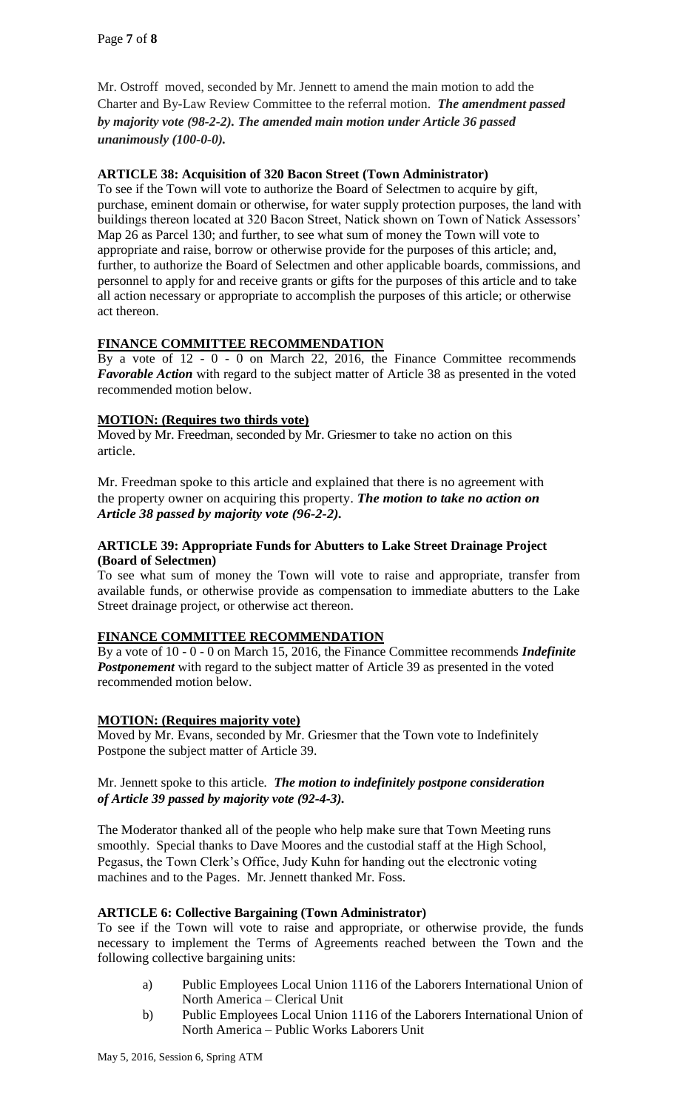Mr. Ostroff moved, seconded by Mr. Jennett to amend the main motion to add the Charter and By-Law Review Committee to the referral motion. *The amendment passed by majority vote (98-2-2). The amended main motion under Article 36 passed unanimously (100-0-0).*

# **ARTICLE 38: Acquisition of 320 Bacon Street (Town Administrator)**

To see if the Town will vote to authorize the Board of Selectmen to acquire by gift, purchase, eminent domain or otherwise, for water supply protection purposes, the land with buildings thereon located at 320 Bacon Street, Natick shown on Town of Natick Assessors' Map 26 as Parcel 130; and further, to see what sum of money the Town will vote to appropriate and raise, borrow or otherwise provide for the purposes of this article; and, further, to authorize the Board of Selectmen and other applicable boards, commissions, and personnel to apply for and receive grants or gifts for the purposes of this article and to take all action necessary or appropriate to accomplish the purposes of this article; or otherwise act thereon.

# **FINANCE COMMITTEE RECOMMENDATION**

By a vote of 12 - 0 - 0 on March 22, 2016, the Finance Committee recommends *Favorable Action* with regard to the subject matter of Article 38 as presented in the voted recommended motion below.

# **MOTION: (Requires two thirds vote)**

Moved by Mr. Freedman, seconded by Mr. Griesmer to take no action on this article.

Mr. Freedman spoke to this article and explained that there is no agreement with the property owner on acquiring this property. *The motion to take no action on Article 38 passed by majority vote (96-2-2).*

# **ARTICLE 39: Appropriate Funds for Abutters to Lake Street Drainage Project (Board of Selectmen)**

To see what sum of money the Town will vote to raise and appropriate, transfer from available funds, or otherwise provide as compensation to immediate abutters to the Lake Street drainage project, or otherwise act thereon.

# **FINANCE COMMITTEE RECOMMENDATION**

By a vote of 10 - 0 - 0 on March 15, 2016, the Finance Committee recommends *Indefinite*  **Postponement** with regard to the subject matter of Article 39 as presented in the voted recommended motion below.

# **MOTION: (Requires majority vote)**

Moved by Mr. Evans, seconded by Mr. Griesmer that the Town vote to Indefinitely Postpone the subject matter of Article 39.

# Mr. Jennett spoke to this article*. The motion to indefinitely postpone consideration of Article 39 passed by majority vote (92-4-3).*

The Moderator thanked all of the people who help make sure that Town Meeting runs smoothly. Special thanks to Dave Moores and the custodial staff at the High School, Pegasus, the Town Clerk's Office, Judy Kuhn for handing out the electronic voting machines and to the Pages. Mr. Jennett thanked Mr. Foss.

# **ARTICLE 6: Collective Bargaining (Town Administrator)**

To see if the Town will vote to raise and appropriate, or otherwise provide, the funds necessary to implement the Terms of Agreements reached between the Town and the following collective bargaining units:

- a) Public Employees Local Union 1116 of the Laborers International Union of North America – Clerical Unit
- b) Public Employees Local Union 1116 of the Laborers International Union of North America – Public Works Laborers Unit